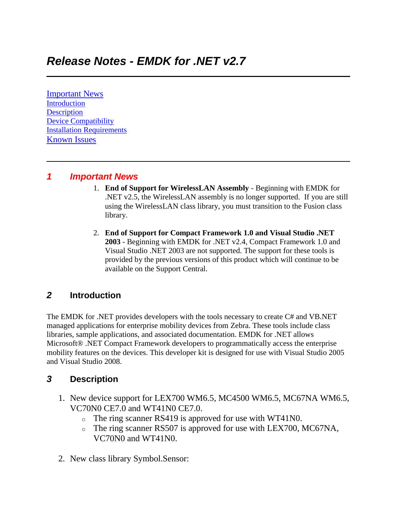[Important News](https://atgsupportcentral.motorolasolutions.com/content/emb/docs/ReleaseNotes/Release%20Notes%20-%20EMDK_M_020705_UP2B.htm#Important_News) [Introduction](https://atgsupportcentral.motorolasolutions.com/content/emb/docs/ReleaseNotes/Release%20Notes%20-%20EMDK_M_020705_UP2B.htm#Introduction) **[Description](https://atgsupportcentral.motorolasolutions.com/content/emb/docs/ReleaseNotes/Release%20Notes%20-%20EMDK_M_020705_UP2B.htm#Description)** [Device Compatibility](https://atgsupportcentral.motorolasolutions.com/content/emb/docs/ReleaseNotes/Release%20Notes%20-%20EMDK_M_020705_UP2B.htm#Compatibility_) [Installation Requirements](https://atgsupportcentral.motorolasolutions.com/content/emb/docs/ReleaseNotes/Release%20Notes%20-%20EMDK_M_020705_UP2B.htm#Installation_Requirements) [Known Issues](https://atgsupportcentral.motorolasolutions.com/content/emb/docs/ReleaseNotes/Release%20Notes%20-%20EMDK_M_020705_UP2B.htm#Known_Issues)

#### *1 Important News*

- 1. **End of Support for WirelessLAN Assembly** Beginning with EMDK for .NET v2.5, the WirelessLAN assembly is no longer supported. If you are still using the WirelessLAN class library, you must transition to the Fusion class library.
- 2. **End of Support for Compact Framework 1.0 and Visual Studio .NET 2003** - Beginning with EMDK for .NET v2.4, Compact Framework 1.0 and Visual Studio .NET 2003 are not supported. The support for these tools is provided by the previous versions of this product which will continue to be available on the Support Central.

## *2* **Introduction**

The EMDK for .NET provides developers with the tools necessary to create C# and VB.NET managed applications for enterprise mobility devices from Zebra. These tools include class libraries, sample applications, and associated documentation. EMDK for .NET allows Microsoft® .NET Compact Framework developers to programmatically access the enterprise mobility features on the devices. This developer kit is designed for use with Visual Studio 2005 and Visual Studio 2008.

## *3* **Description**

- 1. New device support for LEX700 WM6.5, MC4500 WM6.5, MC67NA WM6.5, VC70N0 CE7.0 and WT41N0 CE7.0.
	- o The ring scanner RS419 is approved for use with WT41N0.
	- o The ring scanner RS507 is approved for use with LEX700, MC67NA, VC70N0 and WT41N0.
- 2. New class library Symbol.Sensor: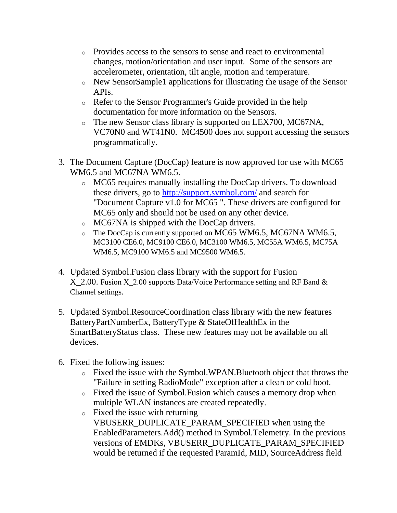- o Provides access to the sensors to sense and react to environmental changes, motion/orientation and user input. Some of the sensors are accelerometer, orientation, tilt angle, motion and temperature.
- o New SensorSample1 applications for illustrating the usage of the Sensor APIs.
- o Refer to the Sensor Programmer's Guide provided in the help documentation for more information on the Sensors.
- o The new Sensor class library is supported on LEX700, MC67NA, VC70N0 and WT41N0. MC4500 does not support accessing the sensors programmatically.
- 3. The Document Capture (DocCap) feature is now approved for use with MC65 WM6.5 and MC67NA WM6.5.
	- o MC65 requires manually installing the DocCap drivers. To download these drivers, go to <http://support.symbol.com/> and search for "Document Capture v1.0 for MC65 ". These drivers are configured for MC65 only and should not be used on any other device.
	- o MC67NA is shipped with the DocCap drivers.
	- $\circ$  The DocCap is currently supported on MC65 WM6.5, MC67NA WM6.5, MC3100 CE6.0, MC9100 CE6.0, MC3100 WM6.5, MC55A WM6.5, MC75A WM6.5, MC9100 WM6.5 and MC9500 WM6.5.
- 4. Updated Symbol.Fusion class library with the support for Fusion X\_2.00. Fusion X\_2.00 supports Data/Voice Performance setting and RF Band & Channel settings.
- 5. Updated Symbol.ResourceCoordination class library with the new features BatteryPartNumberEx, BatteryType & StateOfHealthEx in the SmartBatteryStatus class. These new features may not be available on all devices.
- 6. Fixed the following issues:
	- o Fixed the issue with the Symbol.WPAN.Bluetooth object that throws the "Failure in setting RadioMode" exception after a clean or cold boot.
	- o Fixed the issue of Symbol.Fusion which causes a memory drop when multiple WLAN instances are created repeatedly.
	- o Fixed the issue with returning VBUSERR\_DUPLICATE\_PARAM\_SPECIFIED when using the EnabledParameters.Add() method in Symbol.Telemetry. In the previous versions of EMDKs, VBUSERR\_DUPLICATE\_PARAM\_SPECIFIED would be returned if the requested ParamId, MID, SourceAddress field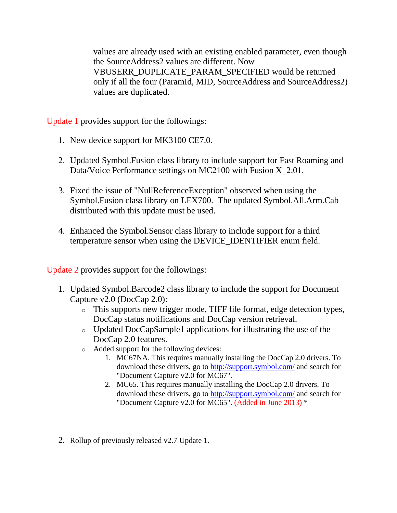values are already used with an existing enabled parameter, even though the SourceAddress2 values are different. Now VBUSERR\_DUPLICATE\_PARAM\_SPECIFIED would be returned only if all the four (ParamId, MID, SourceAddress and SourceAddress2) values are duplicated.

Update 1 provides support for the followings:

- 1. New device support for MK3100 CE7.0.
- 2. Updated Symbol.Fusion class library to include support for Fast Roaming and Data/Voice Performance settings on MC2100 with Fusion X\_2.01.
- 3. Fixed the issue of "NullReferenceException" observed when using the Symbol.Fusion class library on LEX700. The updated Symbol.All.Arm.Cab distributed with this update must be used.
- 4. Enhanced the Symbol.Sensor class library to include support for a third temperature sensor when using the DEVICE\_IDENTIFIER enum field.

Update 2 provides support for the followings:

- 1. Updated Symbol.Barcode2 class library to include the support for Document Capture v2.0 (DocCap 2.0):
	- o This supports new trigger mode, TIFF file format, edge detection types, DocCap status notifications and DocCap version retrieval.
	- o Updated DocCapSample1 applications for illustrating the use of the DocCap 2.0 features.
	- o Added support for the following devices:
		- 1. MC67NA. This requires manually installing the DocCap 2.0 drivers. To download these drivers, go to <http://support.symbol.com/> and search for "Document Capture v2.0 for MC67".
		- 2. MC65. This requires manually installing the DocCap 2.0 drivers. To download these drivers, go to <http://support.symbol.com/> and search for "Document Capture v2.0 for MC65". (Added in June 2013) \*
- 2. Rollup of previously released v2.7 Update 1.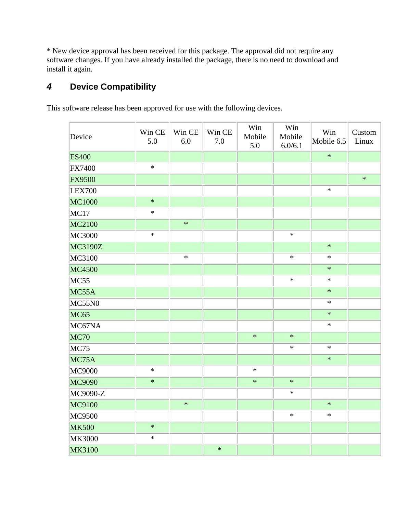\* New device approval has been received for this package. The approval did not require any software changes. If you have already installed the package, there is no need to download and install it again.

# *4* **Device Compatibility**

This software release has been approved for use with the following devices.

| Device         | Win CE<br>5.0 | Win CE<br>6.0 | Win CE<br>7.0 | Win<br>Mobile<br>5.0 | Win<br>Mobile<br>6.0/6.1 | Win<br>Mobile 6.5 | Custom<br>Linux |
|----------------|---------------|---------------|---------------|----------------------|--------------------------|-------------------|-----------------|
| <b>ES400</b>   |               |               |               |                      |                          | $\ast$            |                 |
| <b>FX7400</b>  | $\ast$        |               |               |                      |                          |                   |                 |
| <b>FX9500</b>  |               |               |               |                      |                          |                   | $\ast$          |
| <b>LEX700</b>  |               |               |               |                      |                          | $\ast$            |                 |
| <b>MC1000</b>  | $\ast$        |               |               |                      |                          |                   |                 |
| MC17           | $\ast$        |               |               |                      |                          |                   |                 |
| MC2100         |               | $\ast$        |               |                      |                          |                   |                 |
| <b>MC3000</b>  | $\ast$        |               |               |                      | $\ast$                   |                   |                 |
| <b>MC3190Z</b> |               |               |               |                      |                          | $\ast$            |                 |
| MC3100         |               | $\ast$        |               |                      | $\ast$                   | $\ast$            |                 |
| <b>MC4500</b>  |               |               |               |                      |                          | $\ast$            |                 |
| MC55           |               |               |               |                      | $\ast$                   | $\ast$            |                 |
| MC55A          |               |               |               |                      |                          | $\ast$            |                 |
| MC55N0         |               |               |               |                      |                          | $\ast$            |                 |
| <b>MC65</b>    |               |               |               |                      |                          | $\ast$            |                 |
| MC67NA         |               |               |               |                      |                          | $\ast$            |                 |
| <b>MC70</b>    |               |               |               | $\ast$               | $\ast$                   |                   |                 |
| <b>MC75</b>    |               |               |               |                      | $\ast$                   | $\ast$            |                 |
| MC75A          |               |               |               |                      |                          | $\ast$            |                 |
| <b>MC9000</b>  | $\ast$        |               |               | $\ast$               |                          |                   |                 |
| <b>MC9090</b>  | $\ast$        |               |               | $\ast$               | $\ast$                   |                   |                 |
| MC9090-Z       |               |               |               |                      | $\ast$                   |                   |                 |
| MC9100         |               | $\ast$        |               |                      |                          | $\ast$            |                 |
| <b>MC9500</b>  |               |               |               |                      | $\ast$                   | $\ast$            |                 |
| <b>MK500</b>   | $\ast$        |               |               |                      |                          |                   |                 |
| <b>MK3000</b>  | $\ast$        |               |               |                      |                          |                   |                 |
| <b>MK3100</b>  |               |               | $\ast$        |                      |                          |                   |                 |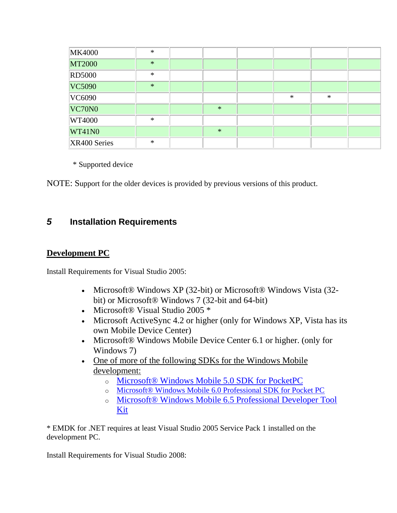| <b>MK4000</b> | $\ast$ |        |        |        |  |
|---------------|--------|--------|--------|--------|--|
| <b>MT2000</b> | $\ast$ |        |        |        |  |
| <b>RD5000</b> | $\ast$ |        |        |        |  |
| VC5090        | $\ast$ |        |        |        |  |
| VC6090        |        |        | $\ast$ | $\ast$ |  |
| VC70N0        |        | $\ast$ |        |        |  |
| WT4000        | $\ast$ |        |        |        |  |
| WT41N0        |        | $\ast$ |        |        |  |
| XR400 Series  | $\ast$ |        |        |        |  |

\* Supported device

NOTE: Support for the older devices is provided by previous versions of this product.

# *5* **Installation Requirements**

#### **Development PC**

Install Requirements for Visual Studio 2005:

- Microsoft® Windows XP (32-bit) or Microsoft® Windows Vista (32bit) or Microsoft® Windows 7 (32-bit and 64-bit)
- Microsoft® Visual Studio 2005 \*
- Microsoft ActiveSync 4.2 or higher (only for Windows XP, Vista has its own Mobile Device Center)
- Microsoft® Windows Mobile Device Center 6.1 or higher. (only for Windows 7)
- One of more of the following SDKs for the Windows Mobile [development:](http://www.microsoft.com/downloads/details.aspx?FamilyID=83A52AF2-F524-4EC5-9155-717CBE5D25ED&displaylang=en)
	- o [Microsoft® Windows Mobile 5.0 SDK for PocketPC](http://www.microsoft.com/downloads/details.aspx?FamilyID=83A52AF2-F524-4EC5-9155-717CBE5D25ED&displaylang=en)
	- o [Microsoft® Windows Mobile 6.0 Professional SDK for Pocket PC](http://www.microsoft.com/downloads/details.aspx?familyid=06111A3A-A651-4745-88EF-3D48091A390B&displaylang=en)
	- o [Microsoft® Windows Mobile 6.5 Professional Developer Tool](http://www.microsoft.com/downloads/details.aspx?FamilyID=20686a1d-97a8-4f80-bc6a-ae010e085a6e&displaylang=en)  [Kit](http://www.microsoft.com/downloads/details.aspx?FamilyID=20686a1d-97a8-4f80-bc6a-ae010e085a6e&displaylang=en)

\* EMDK for .NET requires at least Visual Studio 2005 Service Pack 1 installed on the development PC.

Install Requirements for Visual Studio 2008: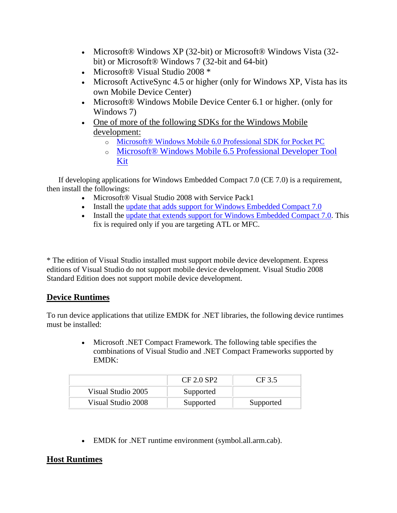- Microsoft® Windows XP (32-bit) or Microsoft® Windows Vista (32bit) or Microsoft® Windows 7 (32-bit and 64-bit)
- Microsoft® Visual Studio 2008 \*
- Microsoft ActiveSync 4.5 or higher (only for Windows XP, Vista has its own Mobile Device Center)
- Microsoft® Windows Mobile Device Center 6.1 or higher. (only for Windows 7)
- One of more of the following SDKs for the Windows Mobile [development:](http://www.microsoft.com/downloads/details.aspx?FamilyID=83A52AF2-F524-4EC5-9155-717CBE5D25ED&displaylang=en)
	- o [Microsoft® Windows Mobile 6.0 Professional SDK for Pocket PC](http://www.microsoft.com/downloads/details.aspx?familyid=06111A3A-A651-4745-88EF-3D48091A390B&displaylang=en)
	- o [Microsoft® Windows Mobile 6.5 Professional Developer Tool](http://www.microsoft.com/downloads/details.aspx?FamilyID=20686a1d-97a8-4f80-bc6a-ae010e085a6e&displaylang=en)  [Kit](http://www.microsoft.com/downloads/details.aspx?FamilyID=20686a1d-97a8-4f80-bc6a-ae010e085a6e&displaylang=en)

 If developing applications for Windows Embedded Compact 7.0 (CE 7.0) is a requirement, then install the followings:

- Microsoft® Visual Studio 2008 with Service Pack1
- Install the [update that adds support for Windows Embedded Compact 7.0](http://support.microsoft.com/kb/2483802)
- Install the [update that extends support for Windows Embedded Compact 7.0.](http://support.microsoft.com/kb/2468183) This fix is required only if you are targeting ATL or MFC.

\* The edition of Visual Studio installed must support mobile device development. Express editions of Visual Studio do not support mobile device development. Visual Studio 2008 Standard Edition does not support mobile device development.

## **Device Runtimes**

To run device applications that utilize EMDK for .NET libraries, the following device runtimes must be installed:

> Microsoft .NET Compact Framework. The following table specifies the combinations of Visual Studio and .NET Compact Frameworks supported by EMDK:

|                    | CF 2.0 SP2 | CF3.5     |
|--------------------|------------|-----------|
| Visual Studio 2005 | Supported  |           |
| Visual Studio 2008 | Supported  | Supported |

EMDK for .NET runtime environment (symbol.all.arm.cab).

## **Host Runtimes**